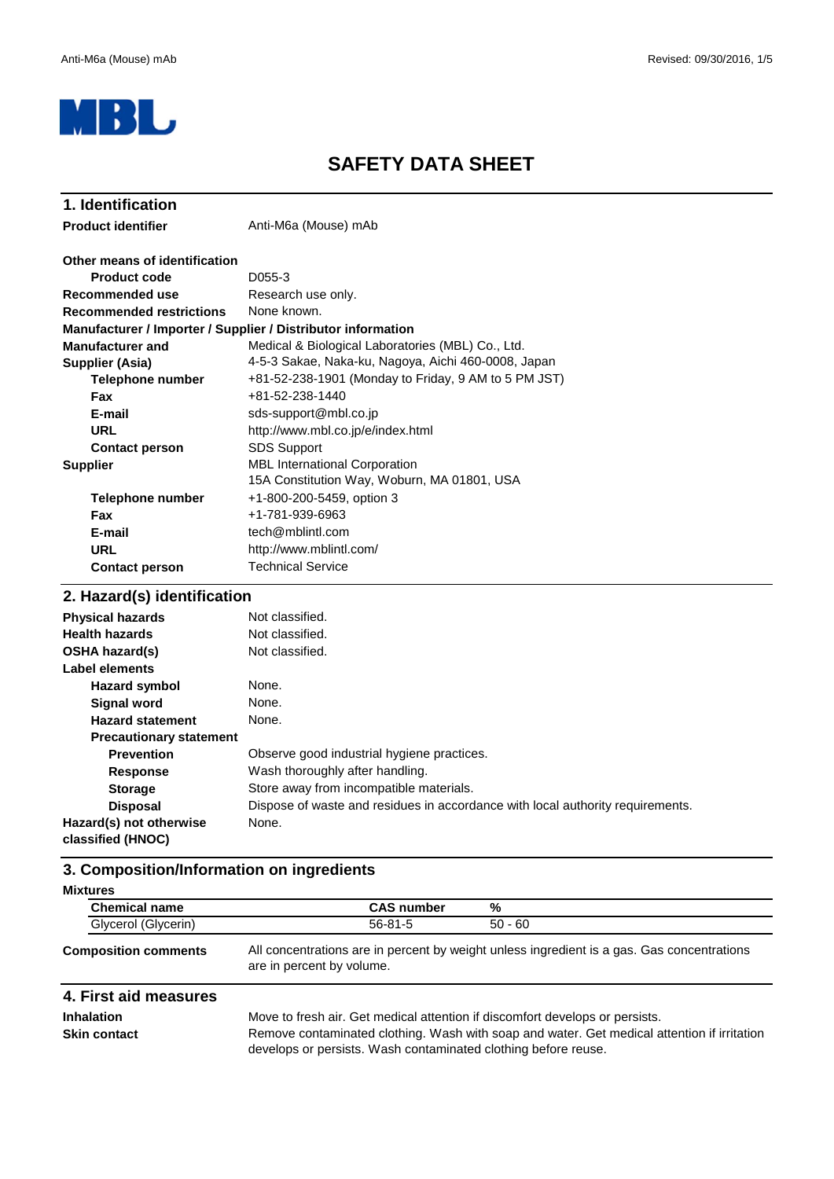

### **SAFETY DATA SHEET**

| 1. Identification                                            |                                                                                     |  |  |
|--------------------------------------------------------------|-------------------------------------------------------------------------------------|--|--|
| <b>Product identifier</b>                                    | Anti-M6a (Mouse) mAb                                                                |  |  |
| Other means of identification                                |                                                                                     |  |  |
| <b>Product code</b>                                          | D055-3                                                                              |  |  |
| Recommended use                                              | Research use only.                                                                  |  |  |
| <b>Recommended restrictions</b>                              | None known.                                                                         |  |  |
| Manufacturer / Importer / Supplier / Distributor information |                                                                                     |  |  |
| <b>Manufacturer and</b>                                      | Medical & Biological Laboratories (MBL) Co., Ltd.                                   |  |  |
| Supplier (Asia)                                              | 4-5-3 Sakae, Naka-ku, Nagoya, Aichi 460-0008, Japan                                 |  |  |
| <b>Telephone number</b>                                      | +81-52-238-1901 (Monday to Friday, 9 AM to 5 PM JST)                                |  |  |
| <b>Fax</b>                                                   | +81-52-238-1440                                                                     |  |  |
| E-mail                                                       | sds-support@mbl.co.jp                                                               |  |  |
| <b>URL</b>                                                   | http://www.mbl.co.jp/e/index.html                                                   |  |  |
| <b>Contact person</b>                                        | <b>SDS Support</b>                                                                  |  |  |
| <b>Supplier</b>                                              | <b>MBL International Corporation</b><br>15A Constitution Way, Woburn, MA 01801, USA |  |  |
| Telephone number                                             | +1-800-200-5459, option 3                                                           |  |  |
| Fax                                                          | +1-781-939-6963                                                                     |  |  |
| E-mail                                                       | tech@mblintl.com                                                                    |  |  |
| <b>URL</b>                                                   | http://www.mblintl.com/                                                             |  |  |
| <b>Contact person</b>                                        | <b>Technical Service</b>                                                            |  |  |
| 2. Hazard(s) identification                                  |                                                                                     |  |  |

| <b>Physical hazards</b>                      | Not classified.                                                                |  |  |  |
|----------------------------------------------|--------------------------------------------------------------------------------|--|--|--|
| <b>Health hazards</b>                        | Not classified.                                                                |  |  |  |
| <b>OSHA hazard(s)</b>                        | Not classified.                                                                |  |  |  |
| Label elements                               |                                                                                |  |  |  |
| Hazard symbol                                | None.                                                                          |  |  |  |
| <b>Signal word</b>                           | None.                                                                          |  |  |  |
| <b>Hazard statement</b>                      | None.                                                                          |  |  |  |
| <b>Precautionary statement</b>               |                                                                                |  |  |  |
| <b>Prevention</b>                            | Observe good industrial hygiene practices.                                     |  |  |  |
| <b>Response</b>                              | Wash thoroughly after handling.                                                |  |  |  |
| <b>Storage</b>                               | Store away from incompatible materials.                                        |  |  |  |
| <b>Disposal</b>                              | Dispose of waste and residues in accordance with local authority requirements. |  |  |  |
| Hazard(s) not otherwise<br>classified (HNOC) | None.                                                                          |  |  |  |

# **3. Composition/Information on ingredients**

| <b>Mixtures</b>             |                   |                                                                                            |
|-----------------------------|-------------------|--------------------------------------------------------------------------------------------|
| <b>Chemical name</b>        | <b>CAS number</b> | %                                                                                          |
| Glycerol (Glycerin)         | $56-81-5$         | $50 - 60$                                                                                  |
| <b>Composition comments</b> |                   | All concentrations are in percent by weight unless ingredient is a gas. Gas concentrations |

#### are in percent by volume.

#### **4. First aid measures**

**Inhalation**

Move to fresh air. Get medical attention if discomfort develops or persists. **Skin contact** Remove contaminated clothing. Wash with soap and water. Get medical attention if irritation develops or persists. Wash contaminated clothing before reuse.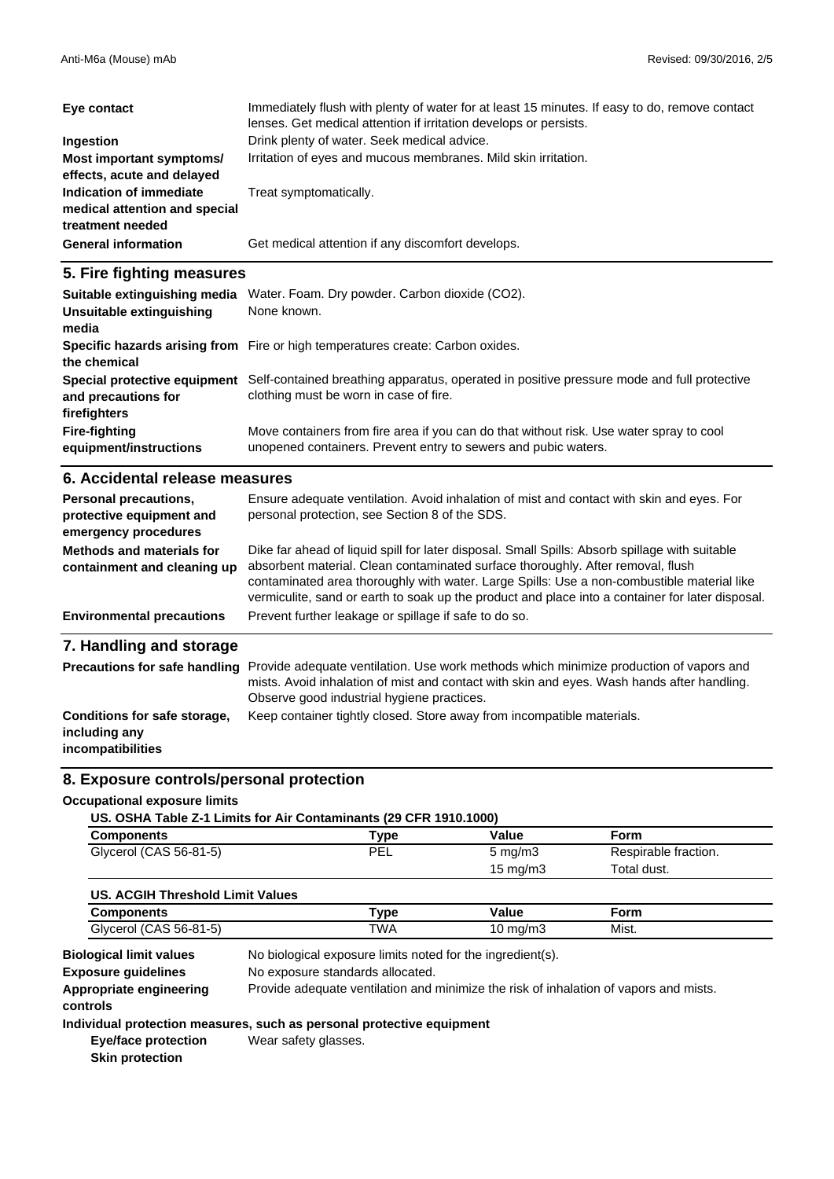| Eye contact                                                                  | Immediately flush with plenty of water for at least 15 minutes. If easy to do, remove contact<br>lenses. Get medical attention if irritation develops or persists. |
|------------------------------------------------------------------------------|--------------------------------------------------------------------------------------------------------------------------------------------------------------------|
| Ingestion                                                                    | Drink plenty of water. Seek medical advice.                                                                                                                        |
| Most important symptoms/<br>effects, acute and delayed                       | Irritation of eyes and mucous membranes. Mild skin irritation.                                                                                                     |
| Indication of immediate<br>medical attention and special<br>treatment needed | Treat symptomatically.                                                                                                                                             |
| <b>General information</b>                                                   | Get medical attention if any discomfort develops.                                                                                                                  |

#### **5. Fire fighting measures**

| Suitable extinguishing media<br>Unsuitable extinguishing<br>media | Water. Foam. Dry powder. Carbon dioxide (CO2).<br>None known.                                                                                             |
|-------------------------------------------------------------------|-----------------------------------------------------------------------------------------------------------------------------------------------------------|
| the chemical                                                      | Specific hazards arising from Fire or high temperatures create: Carbon oxides.                                                                            |
| Special protective equipment<br>and precautions for               | Self-contained breathing apparatus, operated in positive pressure mode and full protective<br>clothing must be worn in case of fire.                      |
| firefighters                                                      |                                                                                                                                                           |
| <b>Fire-fighting</b><br>equipment/instructions                    | Move containers from fire area if you can do that without risk. Use water spray to cool<br>unopened containers. Prevent entry to sewers and pubic waters. |

#### **6. Accidental release measures**

| Personal precautions,<br>protective equipment and<br>emergency procedures | Ensure adequate ventilation. Avoid inhalation of mist and contact with skin and eyes. For<br>personal protection, see Section 8 of the SDS.                                                                                                                                                                                                                                         |
|---------------------------------------------------------------------------|-------------------------------------------------------------------------------------------------------------------------------------------------------------------------------------------------------------------------------------------------------------------------------------------------------------------------------------------------------------------------------------|
| Methods and materials for<br>containment and cleaning up                  | Dike far ahead of liquid spill for later disposal. Small Spills: Absorb spillage with suitable<br>absorbent material. Clean contaminated surface thoroughly. After removal, flush<br>contaminated area thoroughly with water. Large Spills: Use a non-combustible material like<br>vermiculite, sand or earth to soak up the product and place into a container for later disposal. |
| <b>Environmental precautions</b>                                          | Prevent further leakage or spillage if safe to do so.                                                                                                                                                                                                                                                                                                                               |
| 7. Handling and storage                                                   |                                                                                                                                                                                                                                                                                                                                                                                     |
| <b>Precautions for safe handling</b>                                      | Provide adequate ventilation. Use work methods which minimize production of vapors and<br>mists. Avoid inhalation of mist and contact with skin and eyes. Wash hands after handling.<br>Observe good industrial hygiene practices.                                                                                                                                                  |

### **Conditions for safe storage, including any**

**incompatibilities**

### **8. Exposure controls/personal protection**

#### **Occupational exposure limits**

| US. OSHA Table Z-1 Limits for Air Contaminants (29 CFR 1910.1000) |
|-------------------------------------------------------------------|
|-------------------------------------------------------------------|

| <b>Components</b>      | Type | Value               | Form                 |  |
|------------------------|------|---------------------|----------------------|--|
| Glycerol (CAS 56-81-5) | PEL  | $5 \,\mathrm{mq/m}$ | Respirable fraction. |  |
|                        |      | 15 mg/m3            | Total dust.          |  |

Keep container tightly closed. Store away from incompatible materials.

| US. ACGIH Threshold Limit Values |         |          |       |  |
|----------------------------------|---------|----------|-------|--|
| <b>Components</b>                | $T$ vpe | Value    | Form  |  |
| Glycerol (CAS 56-81-5)           | TWA     | 10 mg/m3 | Mist. |  |

**Appropriate engineering** Provide adequate ventilation and minimize the risk of inhalation of vapors and mists. **controls** No exposure standards allocated. **Exposure guidelines** No biological exposure limits noted for the ingredient(s). **Biological limit values**

#### **Individual protection measures, such as personal protective equipment**

**Eye/face protection Skin protection** Wear safety glasses.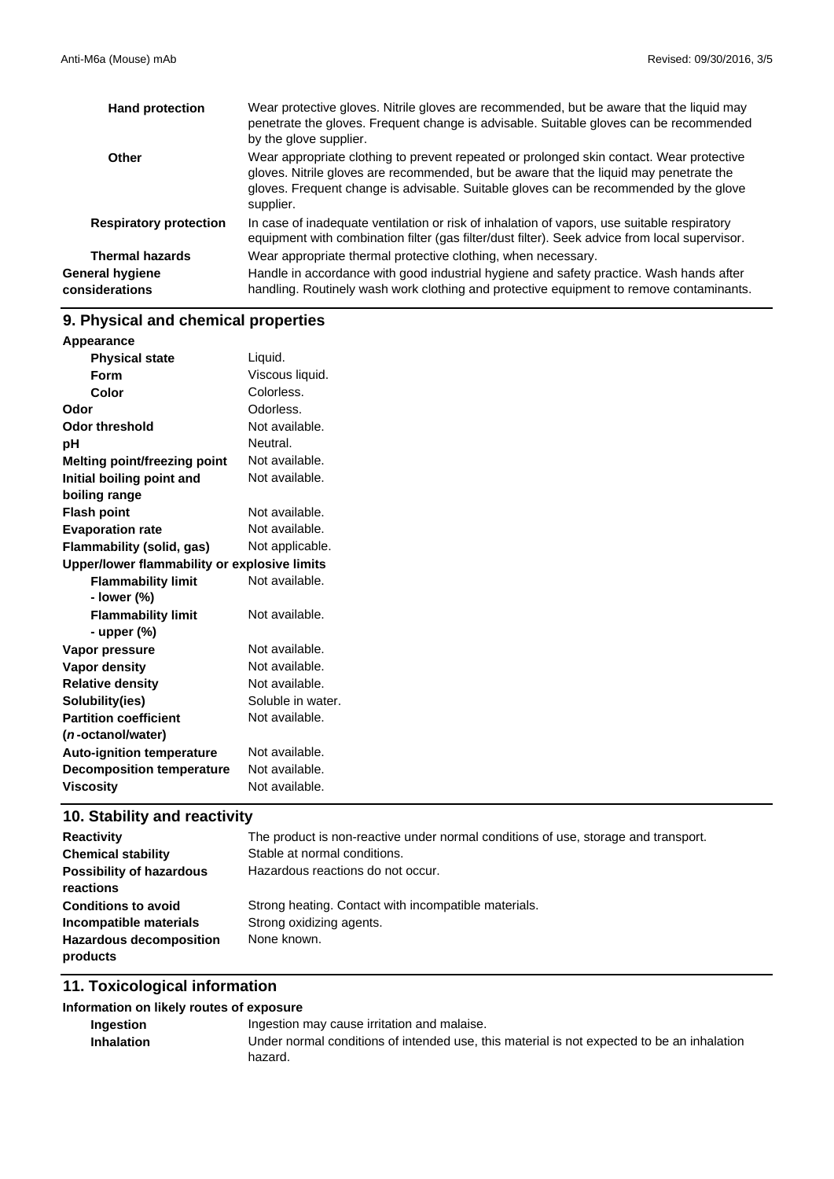| <b>Hand protection</b>            | Wear protective gloves. Nitrile gloves are recommended, but be aware that the liquid may<br>penetrate the gloves. Frequent change is advisable. Suitable gloves can be recommended<br>by the glove supplier.                                                                             |
|-----------------------------------|------------------------------------------------------------------------------------------------------------------------------------------------------------------------------------------------------------------------------------------------------------------------------------------|
| Other                             | Wear appropriate clothing to prevent repeated or prolonged skin contact. Wear protective<br>gloves. Nitrile gloves are recommended, but be aware that the liquid may penetrate the<br>gloves. Frequent change is advisable. Suitable gloves can be recommended by the glove<br>supplier. |
| <b>Respiratory protection</b>     | In case of inadequate ventilation or risk of inhalation of vapors, use suitable respiratory<br>equipment with combination filter (gas filter/dust filter). Seek advice from local supervisor.                                                                                            |
| <b>Thermal hazards</b>            | Wear appropriate thermal protective clothing, when necessary.                                                                                                                                                                                                                            |
| General hygiene<br>considerations | Handle in accordance with good industrial hygiene and safety practice. Wash hands after<br>handling. Routinely wash work clothing and protective equipment to remove contaminants.                                                                                                       |

# **9. Physical and chemical properties**

| Appearance                                   |                   |
|----------------------------------------------|-------------------|
| <b>Physical state</b>                        | Liquid.           |
| <b>Form</b>                                  | Viscous liquid.   |
| Color                                        | Colorless.        |
| Odor                                         | Odorless.         |
| <b>Odor threshold</b>                        | Not available.    |
| рH                                           | Neutral.          |
| <b>Melting point/freezing point</b>          | Not available.    |
| Initial boiling point and                    | Not available.    |
| boiling range                                |                   |
| <b>Flash point</b>                           | Not available.    |
| <b>Evaporation rate</b>                      | Not available.    |
| <b>Flammability (solid, gas)</b>             | Not applicable.   |
| Upper/lower flammability or explosive limits |                   |
| <b>Flammability limit</b>                    | Not available.    |
| - lower (%)                                  |                   |
| <b>Flammability limit</b>                    | Not available.    |
| - upper $(\%)$                               |                   |
| Vapor pressure                               | Not available.    |
| Vapor density                                | Not available.    |
| <b>Relative density</b>                      | Not available.    |
| Solubility(ies)                              | Soluble in water. |
| <b>Partition coefficient</b>                 | Not available.    |
| ( <i>n</i> -octanol/water)                   |                   |
| <b>Auto-ignition temperature</b>             | Not available.    |
| <b>Decomposition temperature</b>             | Not available.    |
| <b>Viscosity</b>                             | Not available.    |

# **10. Stability and reactivity**

| <b>Reactivity</b>               | The product is non-reactive under normal conditions of use, storage and transport. |
|---------------------------------|------------------------------------------------------------------------------------|
| <b>Chemical stability</b>       | Stable at normal conditions.                                                       |
| <b>Possibility of hazardous</b> | Hazardous reactions do not occur.                                                  |
| reactions                       |                                                                                    |
| <b>Conditions to avoid</b>      | Strong heating. Contact with incompatible materials.                               |
| Incompatible materials          | Strong oxidizing agents.                                                           |
| <b>Hazardous decomposition</b>  | None known.                                                                        |
| products                        |                                                                                    |

### **11. Toxicological information**

#### **Information on likely routes of exposure**

| Ingestion         | Ingestion may cause irritation and malaise.                                                |
|-------------------|--------------------------------------------------------------------------------------------|
| <b>Inhalation</b> | Under normal conditions of intended use, this material is not expected to be an inhalation |
|                   | hazard.                                                                                    |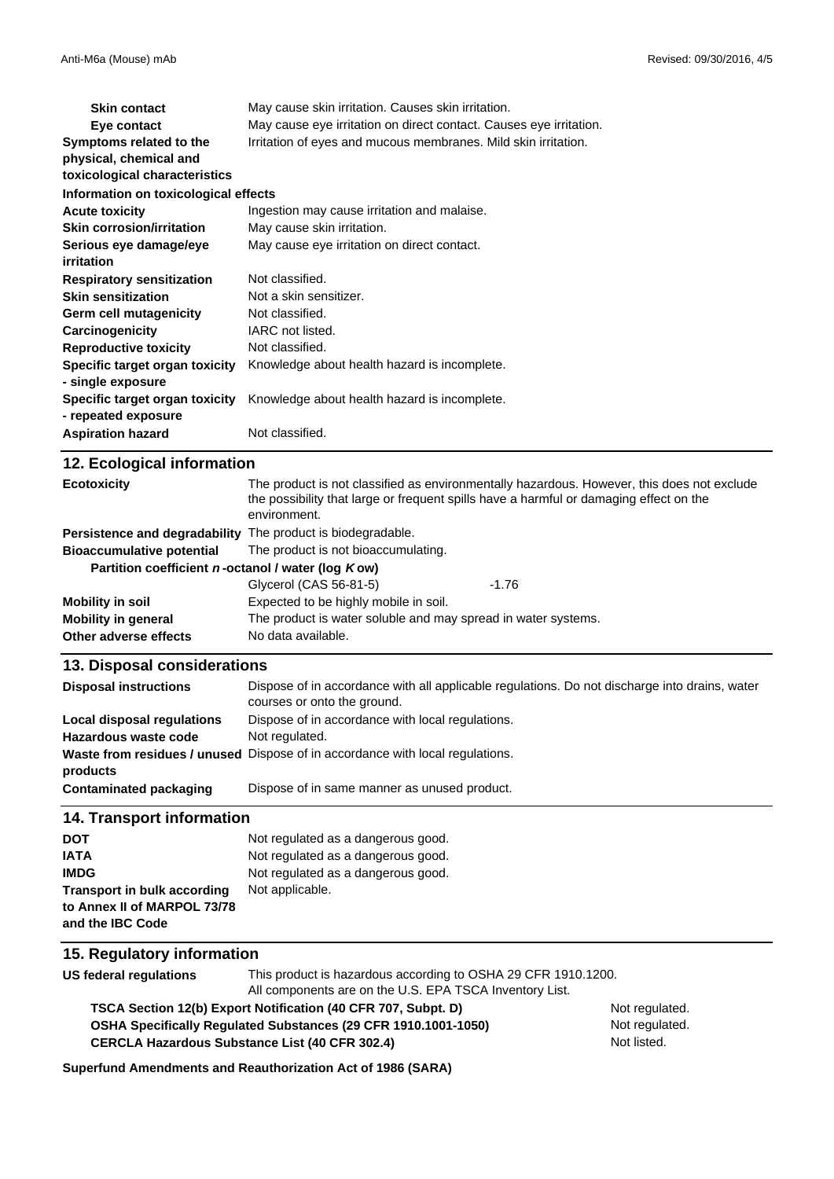| <b>Skin contact</b>                  | May cause skin irritation. Causes skin irritation.                 |
|--------------------------------------|--------------------------------------------------------------------|
| Eye contact                          | May cause eye irritation on direct contact. Causes eye irritation. |
| Symptoms related to the              | Irritation of eyes and mucous membranes. Mild skin irritation.     |
| physical, chemical and               |                                                                    |
| toxicological characteristics        |                                                                    |
| Information on toxicological effects |                                                                    |
| <b>Acute toxicity</b>                | Ingestion may cause irritation and malaise.                        |
| <b>Skin corrosion/irritation</b>     | May cause skin irritation.                                         |
| Serious eye damage/eye               | May cause eye irritation on direct contact.                        |
| irritation                           |                                                                    |
| <b>Respiratory sensitization</b>     | Not classified.                                                    |
| <b>Skin sensitization</b>            | Not a skin sensitizer.                                             |
| Germ cell mutagenicity               | Not classified.                                                    |
| Carcinogenicity                      | IARC not listed.                                                   |
| <b>Reproductive toxicity</b>         | Not classified.                                                    |
| Specific target organ toxicity       | Knowledge about health hazard is incomplete.                       |
| - single exposure                    |                                                                    |
| Specific target organ toxicity       | Knowledge about health hazard is incomplete.                       |
| - repeated exposure                  |                                                                    |
| <b>Aspiration hazard</b>             | Not classified.                                                    |

| 12. Ecological information                                  |                                                                                                                                                                                                      |         |
|-------------------------------------------------------------|------------------------------------------------------------------------------------------------------------------------------------------------------------------------------------------------------|---------|
| <b>Ecotoxicity</b>                                          | The product is not classified as environmentally hazardous. However, this does not exclude<br>the possibility that large or frequent spills have a harmful or damaging effect on the<br>environment. |         |
| Persistence and degradability The product is biodegradable. |                                                                                                                                                                                                      |         |
| <b>Bioaccumulative potential</b>                            | The product is not bioaccumulating.                                                                                                                                                                  |         |
| Partition coefficient n-octanol / water (log Kow)           |                                                                                                                                                                                                      |         |
|                                                             | Glycerol (CAS 56-81-5)                                                                                                                                                                               | $-1.76$ |
| Mobility in soil                                            | Expected to be highly mobile in soil.                                                                                                                                                                |         |
| <b>Mobility in general</b>                                  | The product is water soluble and may spread in water systems.                                                                                                                                        |         |
| Other adverse effects                                       | No data available.                                                                                                                                                                                   |         |

#### **13. Disposal considerations**

| <b>Disposal instructions</b> | Dispose of in accordance with all applicable regulations. Do not discharge into drains, water<br>courses or onto the ground. |
|------------------------------|------------------------------------------------------------------------------------------------------------------------------|
| Local disposal regulations   | Dispose of in accordance with local regulations.                                                                             |
| Hazardous waste code         | Not regulated.                                                                                                               |
| products                     | Waste from residues / unused Dispose of in accordance with local regulations.                                                |
| Contaminated packaging       | Dispose of in same manner as unused product.                                                                                 |

#### **14. Transport information**

| <b>DOT</b>                         | Not regulated as a dangerous good. |
|------------------------------------|------------------------------------|
| <b>IATA</b>                        | Not regulated as a dangerous good. |
| <b>IMDG</b>                        | Not regulated as a dangerous good. |
| <b>Transport in bulk according</b> | Not applicable.                    |
| to Annex II of MARPOL 73/78        |                                    |
| and the IBC Code                   |                                    |

#### **15. Regulatory information**

**US federal regulations** This product is hazardous according to OSHA 29 CFR 1910.1200. All components are on the U.S. EPA TSCA Inventory List.

**OSHA Specifically Regulated Substances (29 CFR 1910.1001-1050) TSCA Section 12(b) Export Notification (40 CFR 707, Subpt. D)** Not regulated.

Not regulated. Not listed.

**Superfund Amendments and Reauthorization Act of 1986 (SARA)**

**CERCLA Hazardous Substance List (40 CFR 302.4)**